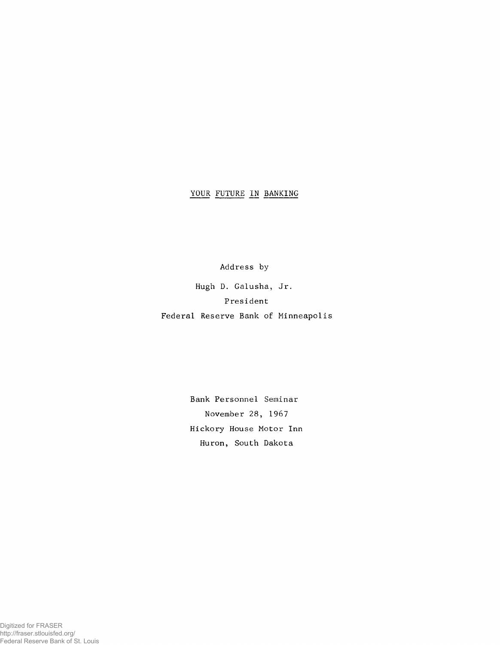## YOUR FUTURE IN BANKING

Address by

Hugh D. Galusha, Jr. President Federal Reserve Bank of Minneapolis

> Bank Personnel Seminar November 28, 1967 Hickory House Motor Inn Huron, South Dakota

Digitized for FRASER http://fraser.stlouisfed.org/ Federal Reserve Bank of St. Louis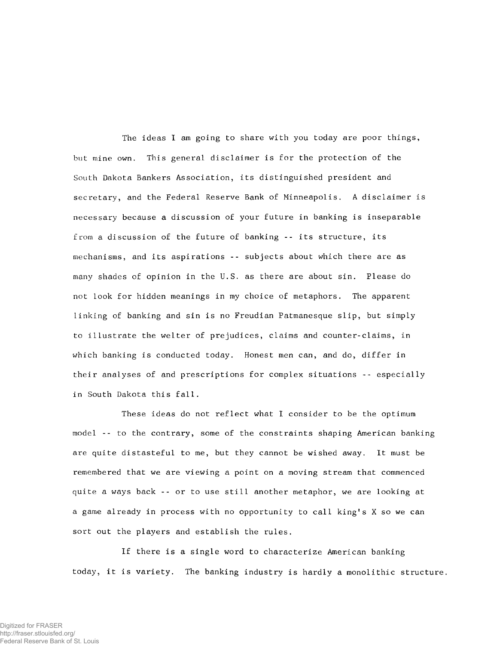The ideas I am going to share with you today are poor things, but mine own. This general disclaimer is for the protection of the South Dakota Bankers Association, its distinguished president and secretary, and the Federal Reserve Bank of Minneapolis. A disclaimer is necessary because a discussion of your future in banking is inseparable from a discussion of the future of banking -- its structure, its mechanisms, and its aspirations -- subjects about which there are as many shades of opinion in the U.S. as there are about sin. Please do not look for hidden meanings in my choice of metaphors. The apparent linking of banking and sin is no Freudian Patmanesque slip, but simply to illustrate the welter of prejudices, claims and counter-claims, in which banking is conducted today. Honest men can, and do, differ in their analyses of and prescriptions for complex situations -- especially in South Dakota this fall.

These ideas do not reflect what I consider to be the optimum model -- to the contrary, some of the constraints shaping American banking are quite distasteful to me, but they cannot be wished away. It must be remembered that we are viewing a point on a moving stream that commenced quite a ways back -- or to use still another metaphor, we are looking at a game already in process with no opportunity to call king's X so we can sort out the players and establish the rules.

If there is a single word to characterize American banking today, it is variety. The banking industry is hardly a monolithic structure.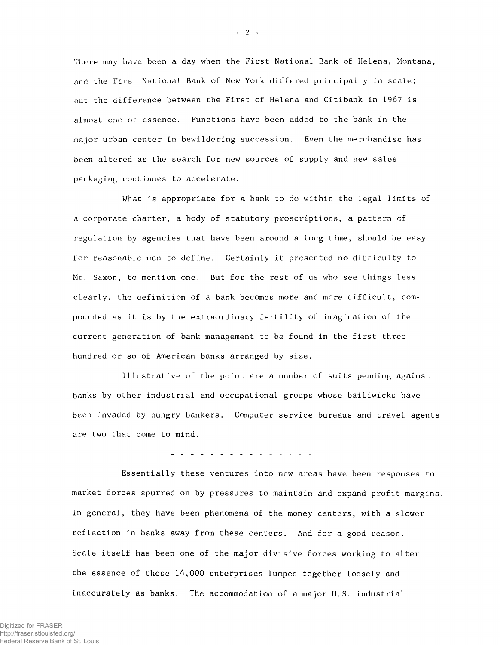There may have been a day when the First National Bank of Helena, Montana, and the First National Bank of New York differed principally in scale; but the difference between the First of Helena and Citibank in 1967 is almost one of essence. Functions have been added to the bank in the major urban center in bewildering succession. Even the merchandise has been altered as the search for new sources of supply and new sales packaging continues to accelerate.

What is appropriate for a bank to do within the legal limits of a corporate charter, a body of statutory proscriptions, a pattern of regulation by agencies that have been around a long time, should be easy for reasonable men to define. Certainly it presented no difficulty to Mr. Saxon, to mention one. But for the rest of us who see things less clearly, the definition of a bank becomes more and more difficult,  $com$ pounded as it is by the extraordinary fertility of imagination of the current generation of bank management to be found in the first three hundred or so of American banks arranged by size.

Illustrative of the point are a number of suits pending against banks by other industrial and occupational groups whose bailiwicks have been invaded by hungry bankers. Computer service bureaus and travel agents are two that come to mind.

<u>a da da da da da da da</u>

Essentially these ventures into new areas have been responses to market forces spurred on by pressures to maintain and expand profit margins. In general, they have been phenomena of the money centers, with a slower reflection in banks away from these centers. And for a good reason. Scale itself has been one of the major divisive forces working to alter the essence of these 14,000 enterprises lumped together loosely and inaccurately as banks. The accommodation of a major U.S. industrial

 $-2$   $-$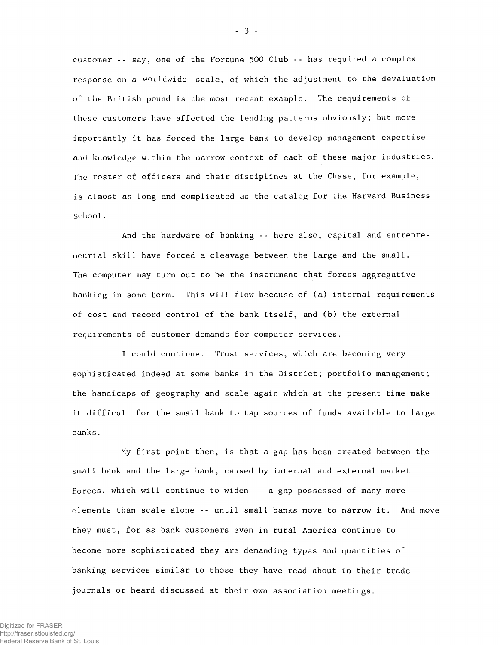customer -- say, one of the Fortune 500 Club -- has required a complex response on a worldwide scale, of which the adjustment to the devaluation of the British pound is the most recent example. The requirements of these customers have affected the lending patterns obviously; but more i mportantly it has forced the large bank to develop management expertise and knowledge within the narrow context of each of these major industries. The roster of officers and their disciplines at the Chase, for example, is almost as long and complicated as the catalog for the Harvard Business School.

And the hardware of banking -- here also, capital and entrepreneurial skill have forced a cleavage between the large and the small. The computer may turn out to be the instrument that forces aggregative banking in some form. This will flow because of (a) internal requirements of cost and record control of the bank itself, and (b) the external requirements of customer demands for computer services.

I could continue. Trust services, which are becoming very sophisticated indeed at some banks in the District; portfolio management; the handicaps of geography and scale again which at the present time make it difficult for the small bank to tap sources of funds available to large banks.

My first point then, is that a gap has been created between the small bank and the large bank, caused by internal and external market forces, which will continue to widen -- a gap possessed of many more elements than scale alone -- until small banks move to narrow it. And move they must, for as bank customers even in rural America continue to become more sophisticated they are demanding types and quantities of banking services similar to those they have read about in their trade journals or heard discussed at their own association meetings.

- 3 -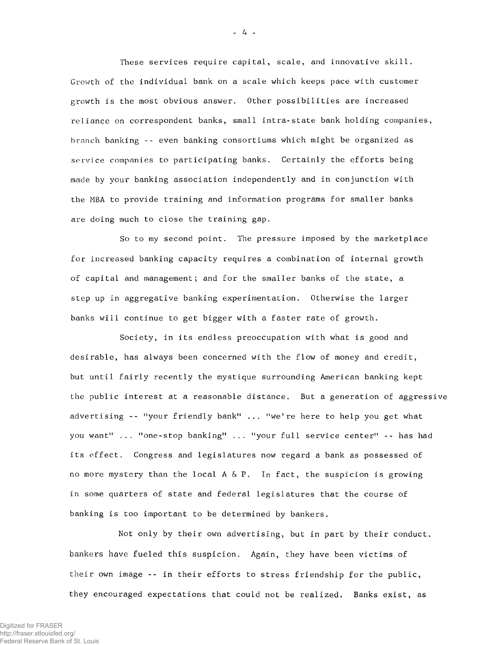These services require capital, scale, and innovative skill. Growth of the individual bank on a scale which keeps pace with customer growth is the most obvious answer. Other possibilities are increased reliance on correspondent banks, small intra-state bank holding companies, branch banking -- even banking consortiums which might be organized as service companies to participating banks. Certainly the efforts being made by your banking association independently and in conjunction with the MBA to provide training and information programs for smaller banks are doing much to close the training gap.

So to my second point. The pressure imposed by the marketplace for increased banking capacity requires a combination of internal growth of capital and management; and for the smaller banks of the state, a step up in aggregative banking experimentation. Otherwise the larger banks will continue to get bigger with a faster rate of growth.

Society, in its endless preoccupation with what is good and desirable, has always been concerned with the flow of money and credit, but until fairly recently the mystique surrounding American banking kept the public interest at a reasonable distance. But a generation of aggressive advertising -- "your friendly bank" ... "we're here to help you get what you want" ... ''one-stop banking" ... "your full service center" -- has had its effect. Congress and legislatures now regard a bank as possessed of no more mystery than the local A & P. In fact, the suspicion is growing in some quarters of state and federal legislatures that the course of banking is too important to be determined by bankers.

Not only by their own advertising, but in part by their conduct, bankers have fueled this suspicion. Again, they have been victims of their own image -- in their efforts to stress friendship for the public, they encouraged expectations that could not be realized. Banks exist, as

- 4 -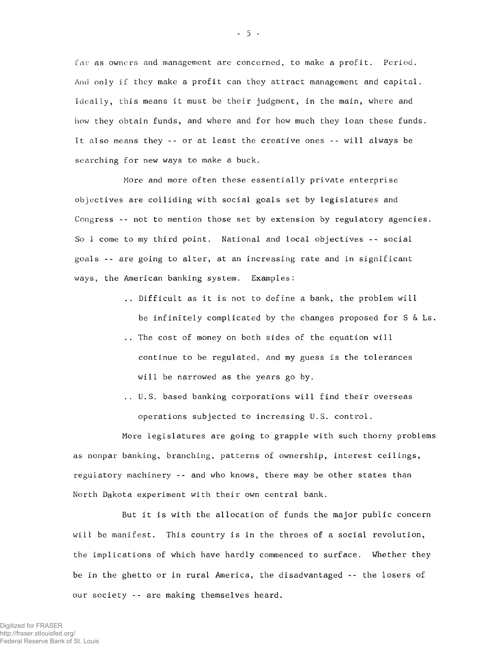far as owners and management are concerned, to make a profit. Period. And only if they make a profit can they attract management and capital. Ideally, this means it must be their judgment, in the main, where and how they obtain funds, and where and for how much they loan these funds. It also means they -- or at least the creative ones -- will always be searching for new ways to make a buck.

More and more often these essentially private enterprise objectives are colliding with social goals set by legislatures and Congress -- not to mention those set by extension by regulatory agencies. So I come to my third point. National and local objectives -- social goals -- are going to alter, at an increasing rate and in significant ways, the American banking system. Examples:

- .. Difficult as it is not to define a bank, the problem will be infinitely complicated by the changes proposed for  $S \& Ls$ .
- .. The cost of money on both sides of the equation will continue to be regulated, and my guess is the tolerances will be narrowed as the years go by.
- .. U.S. based banking corporations will find their overseas operations subjected to increasing U.S. control.

More legislatures are going to grapple with such thorny problems as nonpar banking, branching, patterns of ownership, interest ceilings, regulatory machinery -- and who knows, there may be other states than North Dakota experiment with their own central bank.

But it is with the allocation of funds the major public concern will be manifest. This country is in the throes of a social revolution, the implications of which have hardly commenced to surface. Whether they be in the ghetto or in rural America, the disadvantaged -- the losers of our society -- are making themselves heard.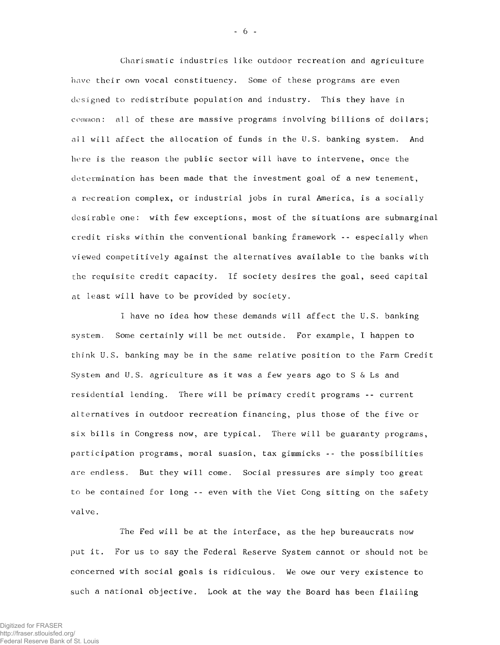Charismatic industries like outdoor recreation and agriculture have their own vocal constituency. Some of these programs are even designed to redistribute population and industry. This they have in common: all of these are massive programs involving billions of dollars; all will affect the allocation of funds in the U.S. banking system. And here is the reason the public sector will have to intervene, once the determination has been made that the investment goal of a new tenement, a recreation complex, or industrial jobs in rural America, is a socially desirable one: with few exceptions, most of the situations are submarginal credit risks within the conventional banking framework -- especially when viewed competitively against the alternatives available to the banks with the requisite credit capacity. If society desires the goal, seed capital at least will have to be provided by society.

I have no idea how these demands will affect the U.S. banking system. Some certainly will be met outside. For example, I happen to think U.S. banking may be in the same relative position to the Farm Credit System and U.S. agriculture as it was a few years ago to S & Ls and residential lending. There will be primary credit programs -- current alternatives in outdoor recreation financing, plus those of the five or six bills in Congress now, are typical. There will be guaranty programs, participation programs, moral suasion, tax gimmicks -- the possibilities are endless. But they will come. Social pressures are simply too great to be contained for long -- even with the Viet Cong sitting on the safety valve.

The Fed will be at the interface, as the hep bureaucrats now put it. For us to say the Federal Reserve System cannot or should not be concerned with social goals is ridiculous. We owe our very existence to such a national objective. Look at the way the Board has been flailing

 $-6-$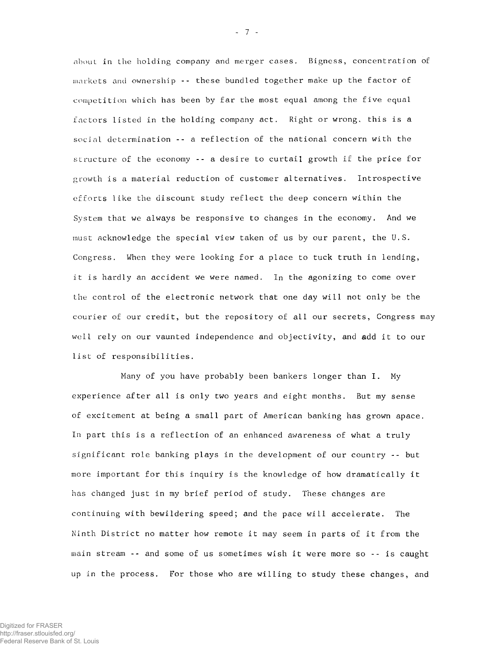about in the holding company and merger cases. Bigness, concentration of markets and ownership -- these bundled together make up the factor of competition which has been by far the most equal among the five equal factors listed in the holding company act. Right or wrong, this is a social determination -- a reflection of the national concern with the structure of the economy -- a desire to curtail growth if the price for growth is a material reduction of customer alternatives. Introspective efforts like the discount study reflect the deep concern within the System that we always be responsive to changes in the economy. And we must acknowledge the special view taken of us by our parent, the U.S. Congress. When they were looking for a place to tuck truth in lending, it is hardly an accident we were named. In the agonizing to come over the control of the electronic network that one day will not only be the courier of our credit, but the repository of all our secrets, Congress may well rely on our vaunted independence and objectivity, and add it to our list of responsibilities.

Many of you have probably been bankers longer than I. My e xperience after all is only two years and eight months. But my sense of excitement at being a small part of American banking has grown apace. In part this is a reflection of an enhanced awareness of what a truly significant role banking plays in the development of our country -- but more important for this inquiry is the knowledge of how dramatically it has changed just in my brief period of study. These changes are continuing with bewildering speed; and the pace will accelerate. The Ninth District no matter how remote it may seem in parts of it from the main stream -- and some of us sometimes wish it were more so -- is caught up in the process. For those who are willing to study these changes, and

- 7 -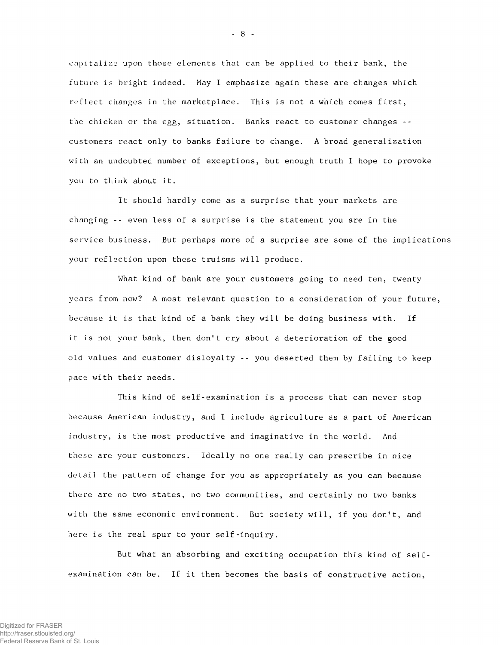capitalize upon those elements that can be applied to their bank, the future is bright indeed. May I emphasize again these are changes which reflect changes in the marketplace. This is not a which comes first, the chicken or the egg, situation. Banks react to customer changes - customers react only to banks failure to change. A broad generalization with an undoubted number of exceptions, but enough truth I hope to provoke you to think about it.

It should hardly come as a surprise that your markets are changing -- even less of a surprise is the statement you are in the service business. But perhaps more of a surprise are some of the implications your reflection upon these truisms will produce.

What kind of bank are your customers going to need ten, twenty years from now? A most relevant question to a consideration of your future, because it is that kind of a bank they will be doing business with. If it is not your bank, then don't cry about a deterioration of the good old values and customer disloyalty -- you deserted them by failing to keep pace with their needs.

This kind of self-examination is a process that can never stop because American industry, and I include agriculture as a part of American industry, is the most productive and imaginative in the world. And these are your customers. Ideally no one really can prescribe in nice detail the pattern of change for you as appropriately as you can because there are no two states, no two communities, and certainly no two banks with the same economic environment. But society will, if you don't, and here is the real spur to your self-inquiry.

But what an absorbing and exciting occupation this kind of selfexamination can be. If it then becomes the basis of constructive action,